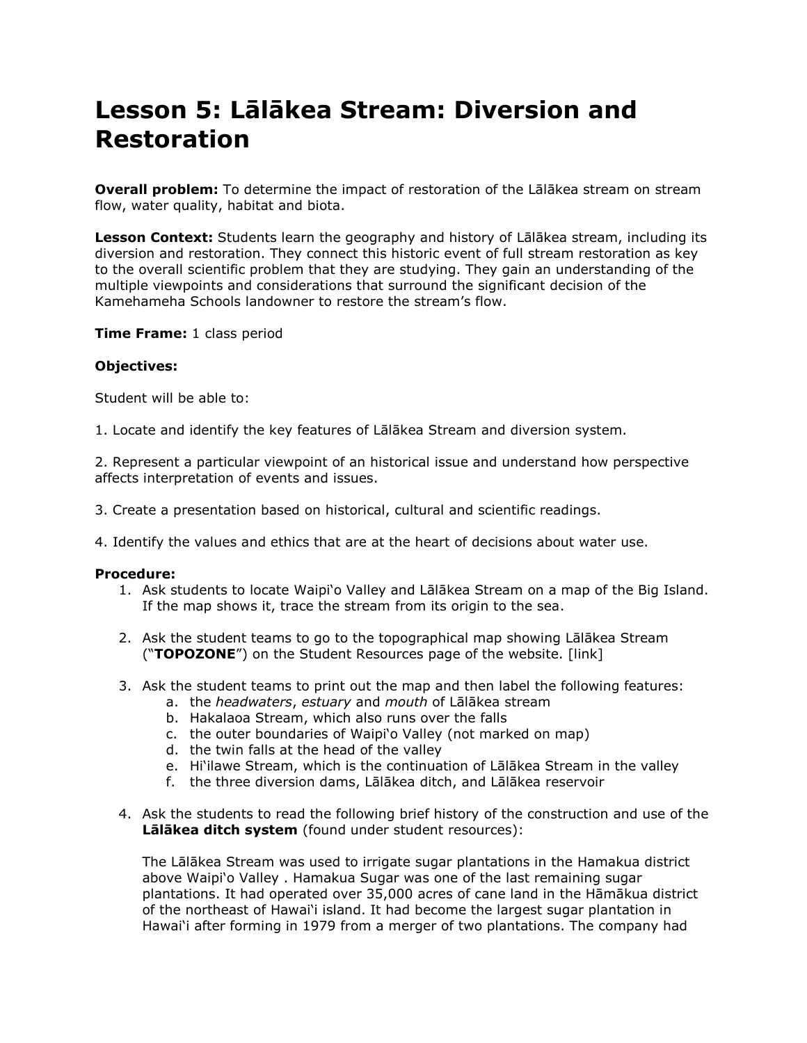# **Lesson 5: Lālākea Stream: Diversion and Restoration**

**Overall problem:** To determine the impact of restoration of the Lalakea stream on stream flow, water quality, habitat and biota.

**Lesson Context:** Students learn the geography and history of Lālākea stream, including its diversion and restoration. They connect this historic event of full stream restoration as key to the overall scientific problem that they are studying. They gain an understanding of the multiple viewpoints and considerations that surround the significant decision of the Kamehameha Schools landowner to restore the stream"s flow.

**Time Frame:** 1 class period

## **Objectives:**

Student will be able to:

1. Locate and identify the key features of Lālākea Stream and diversion system.

2. Represent a particular viewpoint of an historical issue and understand how perspective affects interpretation of events and issues.

- 3. Create a presentation based on historical, cultural and scientific readings.
- 4. Identify the values and ethics that are at the heart of decisions about water use.

#### **Procedure:**

- 1. Ask students to locate Waipi"o Valley and Lālākea Stream on a map of the Big Island. If the map shows it, trace the stream from its origin to the sea.
- 2. Ask the student teams to go to the topographical map showing Lālākea Stream ("**TOPOZONE**") on the Student Resources page of the website. [link]
- 3. Ask the student teams to print out the map and then label the following features:
	- a. the *headwaters*, *estuary* and *mouth* of Lālākea stream
	- b. Hakalaoa Stream, which also runs over the falls
	- c. the outer boundaries of Waipi"o Valley (not marked on map)
	- d. the twin falls at the head of the valley
	- e. Hi"ilawe Stream, which is the continuation of Lālākea Stream in the valley
	- f. the three diversion dams, Lālākea ditch, and Lālākea reservoir
- 4. Ask the students to read the following brief history of the construction and use of the **Lālākea ditch system** (found under student resources):

The Lālākea Stream was used to irrigate sugar plantations in the Hamakua district above Waipi'o Valley. Hamakua Sugar was one of the last remaining sugar plantations. It had operated over 35,000 acres of cane land in the Hāmākua district of the northeast of Hawai"i island. It had become the largest sugar plantation in Hawai"i after forming in 1979 from a merger of two plantations. The company had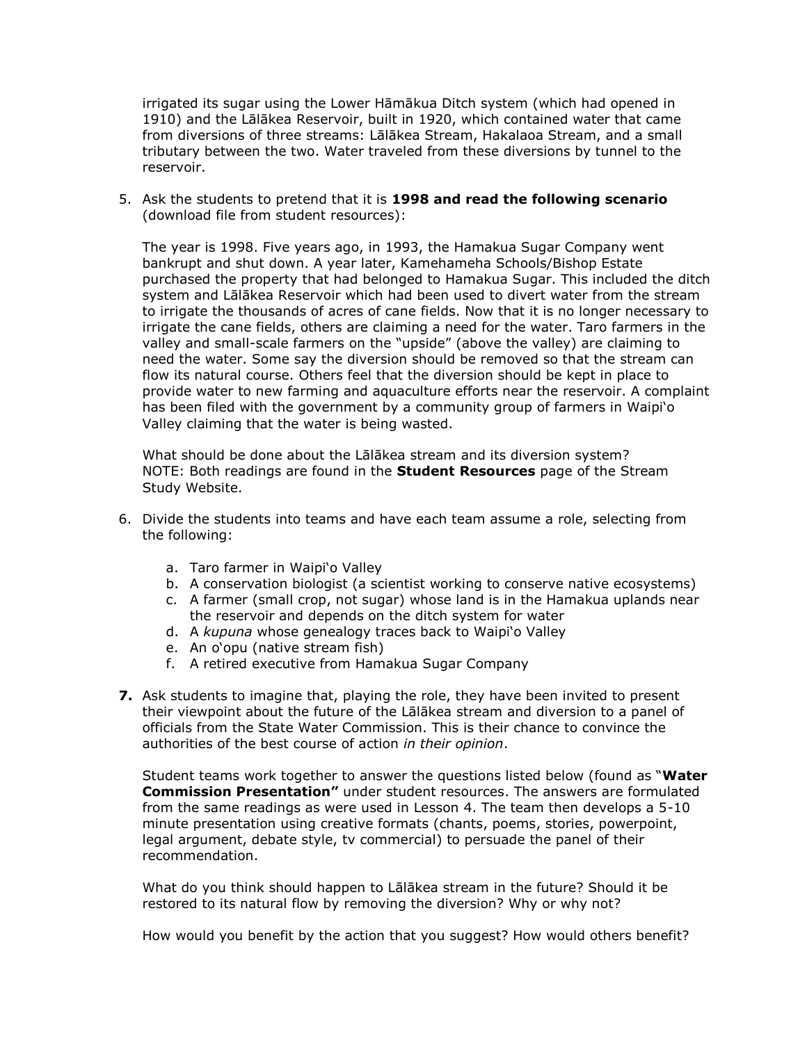irrigated its sugar using the Lower Hāmākua Ditch system (which had opened in 1910) and the Lālākea Reservoir, built in 1920, which contained water that came from diversions of three streams: Lālākea Stream, Hakalaoa Stream, and a small tributary between the two. Water traveled from these diversions by tunnel to the reservoir.

5. Ask the students to pretend that it is **1998 and read the following scenario** (download file from student resources):

The year is 1998. Five years ago, in 1993, the Hamakua Sugar Company went bankrupt and shut down. A year later, Kamehameha Schools/Bishop Estate purchased the property that had belonged to Hamakua Sugar. This included the ditch system and Lālākea Reservoir which had been used to divert water from the stream to irrigate the thousands of acres of cane fields. Now that it is no longer necessary to irrigate the cane fields, others are claiming a need for the water. Taro farmers in the valley and small-scale farmers on the "upside" (above the valley) are claiming to need the water. Some say the diversion should be removed so that the stream can flow its natural course. Others feel that the diversion should be kept in place to provide water to new farming and aquaculture efforts near the reservoir. A complaint has been filed with the government by a community group of farmers in Waipi"o Valley claiming that the water is being wasted.

What should be done about the Lālākea stream and its diversion system? NOTE: Both readings are found in the **Student Resources** page of the Stream Study Website.

- 6. Divide the students into teams and have each team assume a role, selecting from the following:
	- a. Taro farmer in Waipi'o Valley
	- b. A conservation biologist (a scientist working to conserve native ecosystems)
	- c. A farmer (small crop, not sugar) whose land is in the Hamakua uplands near the reservoir and depends on the ditch system for water
	- d. A *kupuna* whose genealogy traces back to Waipi"o Valley
	- e. An o"opu (native stream fish)
	- f. A retired executive from Hamakua Sugar Company
- **7.** Ask students to imagine that, playing the role, they have been invited to present their viewpoint about the future of the Lālākea stream and diversion to a panel of officials from the State Water Commission. This is their chance to convince the authorities of the best course of action *in their opinion*.

Student teams work together to answer the questions listed below (found as "**Water Commission Presentation"** under student resources. The answers are formulated from the same readings as were used in Lesson 4. The team then develops a 5-10 minute presentation using creative formats (chants, poems, stories, powerpoint, legal argument, debate style, tv commercial) to persuade the panel of their recommendation.

What do you think should happen to Lālākea stream in the future? Should it be restored to its natural flow by removing the diversion? Why or why not?

How would you benefit by the action that you suggest? How would others benefit?